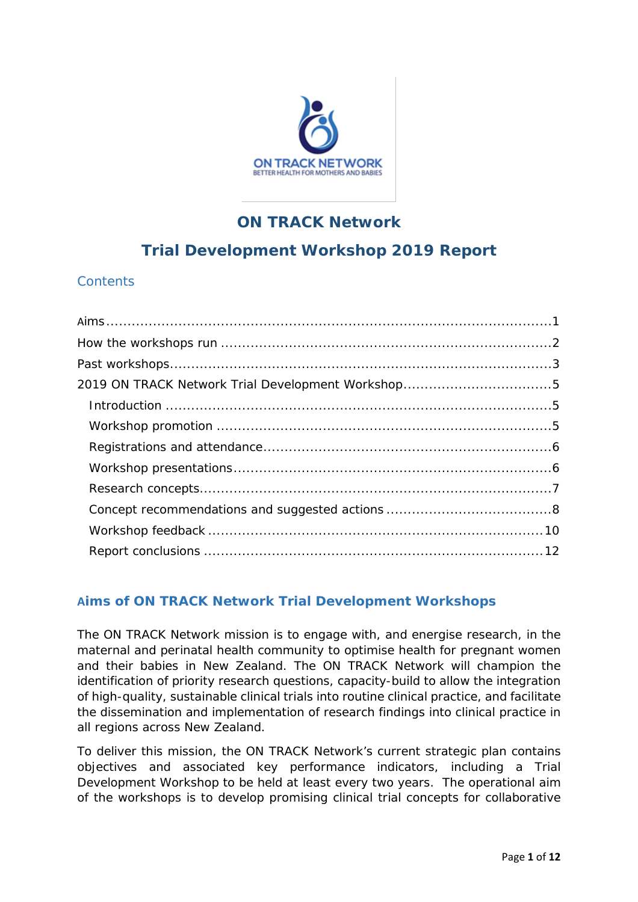

## **ON TRACK Network**

# **Trial Development Workshop 2019 Report**

## **Contents**

## **Aims of ON TRACK Network Trial Development Workshops**

The ON TRACK Network mission is to engage with, and energise research, in the maternal and perinatal health community to optimise health for pregnant women and their babies in New Zealand. The ON TRACK Network will *champion* the identification of priority research questions, *capacity-build* to allow the integration of high-quality, sustainable clinical trials into routine clinical practice, and *facilitate* the dissemination and implementation of research findings into clinical practice in all regions across New Zealand.

To deliver this mission, the ON TRACK Network's current strategic plan contains objectives and associated key performance indicators, including a Trial Development Workshop to be held at least every two years. The operational aim of the workshops is to develop promising clinical trial concepts for collaborative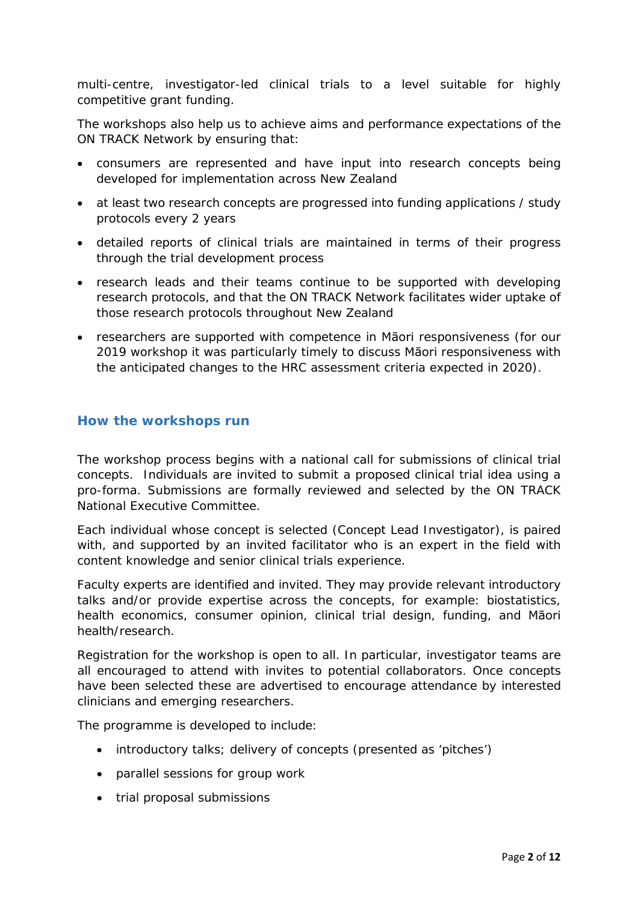multi-centre, investigator-led clinical trials to a level suitable for highly competitive grant funding.

The workshops also help us to achieve aims and performance expectations of the ON TRACK Network by ensuring that:

- consumers are represented and have input into research concepts being developed for implementation across New Zealand
- at least two research concepts are progressed into funding applications / study protocols every 2 years
- detailed reports of clinical trials are maintained in terms of their progress through the trial development process
- research leads and their teams continue to be supported with developing research protocols, and that the ON TRACK Network facilitates wider uptake of those research protocols throughout New Zealand
- researchers are supported with competence in Māori responsiveness (for our 2019 workshop it was particularly timely to discuss Māori responsiveness with the anticipated changes to the HRC assessment criteria expected in 2020).

#### **How the workshops run**

The workshop process begins with a national call for submissions of clinical trial concepts. Individuals are invited to submit a proposed clinical trial idea using a pro-forma. Submissions are formally reviewed and selected by the ON TRACK National Executive Committee.

Each individual whose concept is selected (Concept Lead Investigator), is paired with, and supported by an invited facilitator who is an expert in the field with content knowledge and senior clinical trials experience.

Faculty experts are identified and invited. They may provide relevant introductory talks and/or provide expertise across the concepts, for example: biostatistics, health economics, consumer opinion, clinical trial design, funding, and Māori health/research.

Registration for the workshop is open to all. In particular, investigator teams are all encouraged to attend with invites to potential collaborators. Once concepts have been selected these are advertised to encourage attendance by interested clinicians and emerging researchers.

The programme is developed to include:

- introductory talks; delivery of concepts (presented as 'pitches')
- parallel sessions for group work
- trial proposal submissions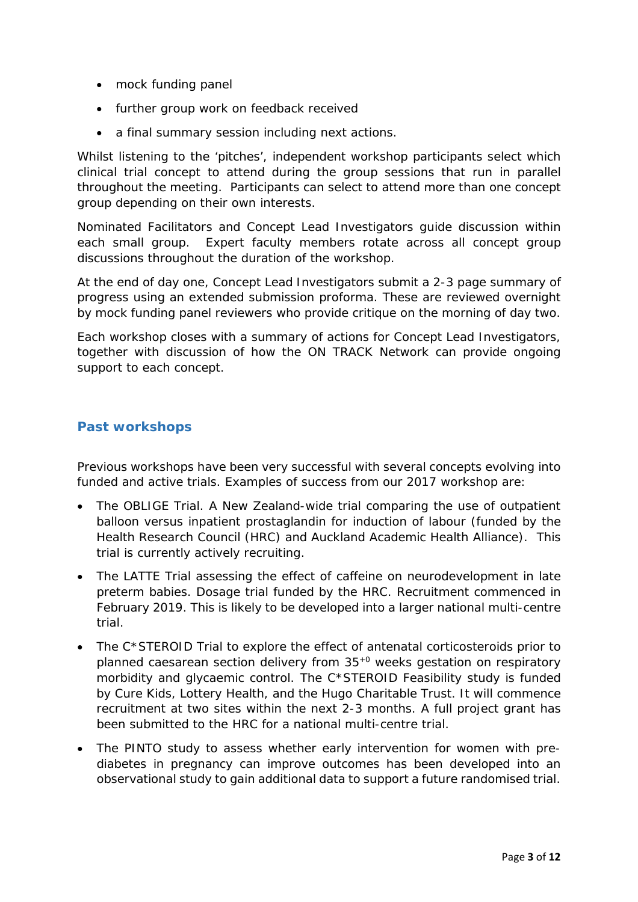- mock funding panel
- further group work on feedback received
- a final summary session including next actions.

Whilst listening to the 'pitches', independent workshop participants select which clinical trial concept to attend during the group sessions that run in parallel throughout the meeting. Participants can select to attend more than one concept group depending on their own interests.

Nominated Facilitators and Concept Lead Investigators guide discussion within each small group. Expert faculty members rotate across all concept group discussions throughout the duration of the workshop.

At the end of day one, Concept Lead Investigators submit a 2-3 page summary of progress using an extended submission proforma. These are reviewed overnight by mock funding panel reviewers who provide critique on the morning of day two.

Each workshop closes with a summary of actions for Concept Lead Investigators, together with discussion of how the ON TRACK Network can provide ongoing support to each concept.

#### **Past workshops**

Previous workshops have been very successful with several concepts evolving into funded and active trials. Examples of success from our 2017 workshop are:

- The OBLIGE Trial. A New Zealand-wide trial comparing the use of outpatient balloon versus inpatient prostaglandin for induction of labour (funded by the Health Research Council (HRC) and Auckland Academic Health Alliance). This trial is currently actively recruiting.
- The LATTE Trial assessing the effect of caffeine on neurodevelopment in late preterm babies. Dosage trial funded by the HRC. Recruitment commenced in February 2019. This is likely to be developed into a larger national multi-centre trial.
- The C\*STEROID Trial to explore the effect of antenatal corticosteroids prior to planned caesarean section delivery from 35+0 weeks gestation on respiratory morbidity and glycaemic control. The C\*STEROID Feasibility study is funded by Cure Kids, Lottery Health, and the Hugo Charitable Trust. It will commence recruitment at two sites within the next 2-3 months. A full project grant has been submitted to the HRC for a national multi-centre trial.
- The PINTO study to assess whether early intervention for women with prediabetes in pregnancy can improve outcomes has been developed into an observational study to gain additional data to support a future randomised trial.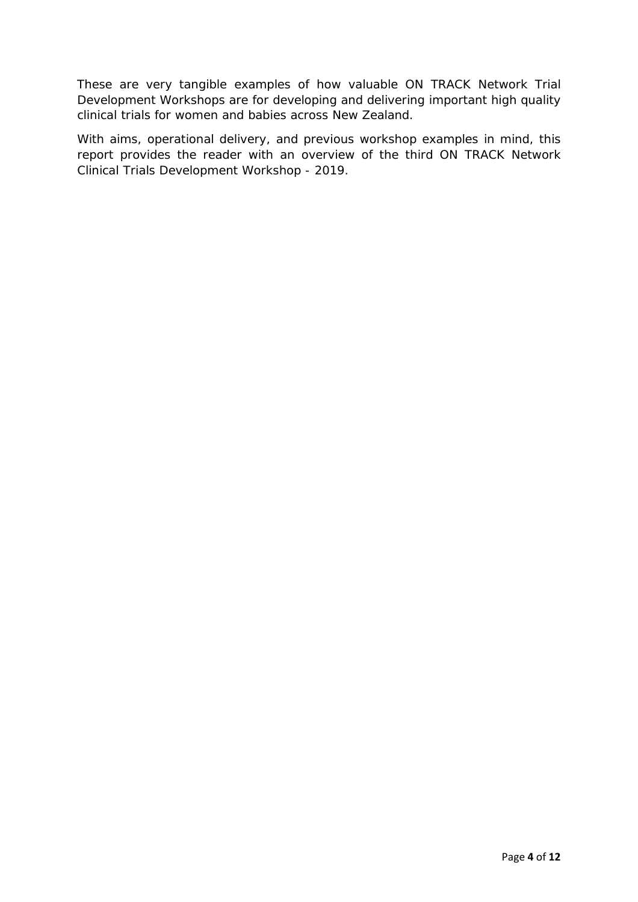These are very tangible examples of how valuable ON TRACK Network Trial Development Workshops are for developing and delivering important high quality clinical trials for women and babies across New Zealand.

With aims, operational delivery, and previous workshop examples in mind, this report provides the reader with an overview of the third ON TRACK Network Clinical Trials Development Workshop - 2019.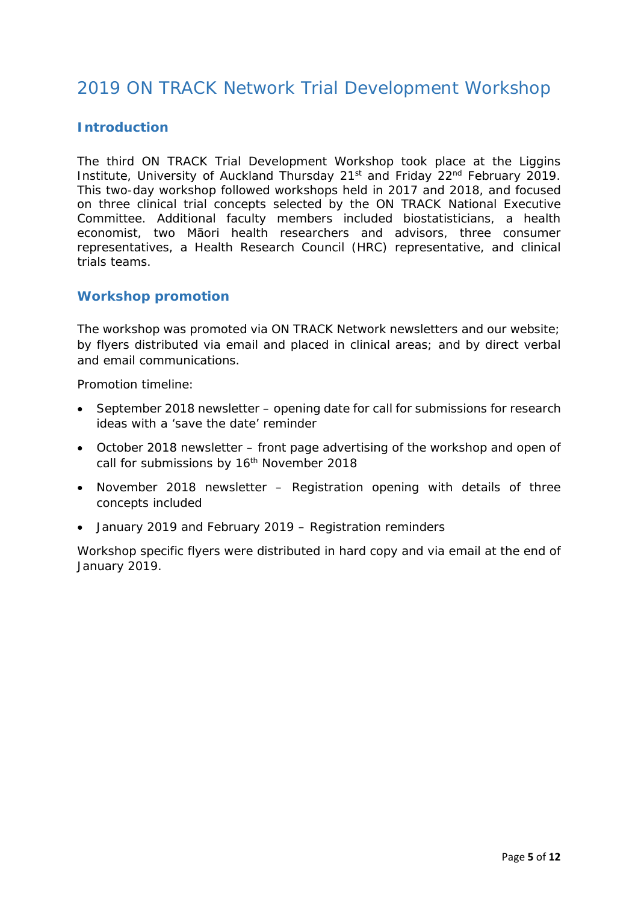# 2019 ON TRACK Network Trial Development Workshop

## **Introduction**

The third ON TRACK Trial Development Workshop took place at the Liggins Institute, University of Auckland Thursday 21<sup>st</sup> and Friday 22<sup>nd</sup> February 2019. This two-day workshop followed workshops held in 2017 and 2018, and focused on three clinical trial concepts selected by the ON TRACK National Executive Committee. Additional faculty members included biostatisticians, a health economist, two Māori health researchers and advisors, three consumer representatives, a Health Research Council (HRC) representative, and clinical trials teams.

#### **Workshop promotion**

The workshop was promoted via ON TRACK Network newsletters and our website; by flyers distributed via email and placed in clinical areas; and by direct verbal and email communications.

Promotion timeline:

- September 2018 newsletter opening date for call for submissions for research ideas with a 'save the date' reminder
- October 2018 newsletter front page advertising of the workshop and open of call for submissions by 16<sup>th</sup> November 2018
- November 2018 newsletter Registration opening with details of three concepts included
- January 2019 and February 2019 Registration reminders

Workshop specific flyers were distributed in hard copy and via email at the end of January 2019.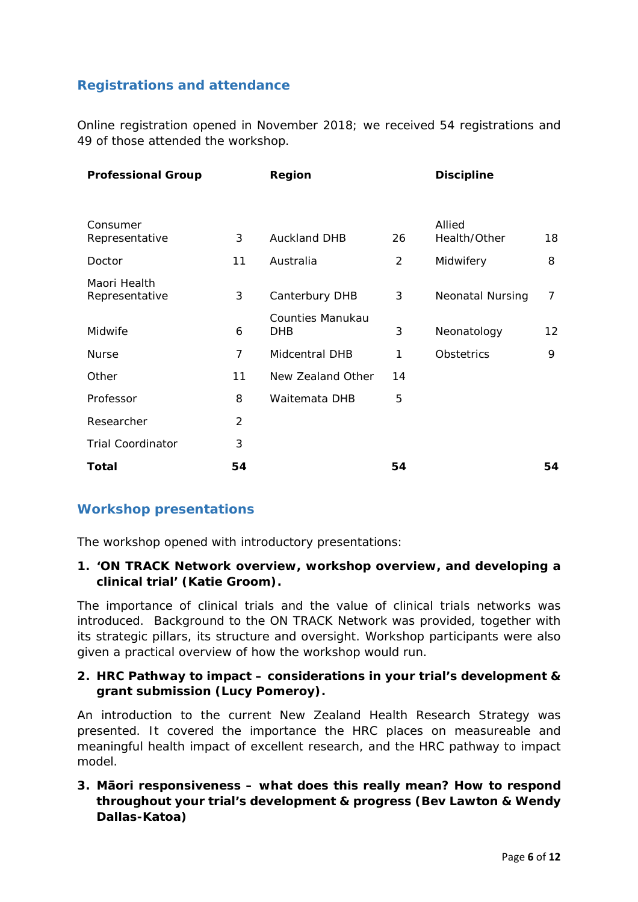## **Registrations and attendance**

Online registration opened in November 2018; we received 54 registrations and 49 of those attended the workshop.

| <b>Professional Group</b>      |                | Region                         |                | <b>Discipline</b>       |    |
|--------------------------------|----------------|--------------------------------|----------------|-------------------------|----|
|                                |                |                                |                |                         |    |
| Consumer<br>Representative     | 3              | <b>Auckland DHB</b>            | 26             | Allied<br>Health/Other  | 18 |
| Doctor                         | 11             | Australia                      | $\overline{2}$ | Midwifery               | 8  |
| Maori Health<br>Representative | 3              | Canterbury DHB                 | 3              | <b>Neonatal Nursing</b> | 7  |
| Midwife                        | 6              | Counties Manukau<br><b>DHB</b> | 3              | Neonatology             | 12 |
| <b>Nurse</b>                   | 7              | Midcentral DHB                 | 1              | <b>Obstetrics</b>       | 9  |
| Other                          | 11             | New Zealand Other              | 14             |                         |    |
| Professor                      | 8              | Waitemata DHB                  | 5              |                         |    |
| Researcher                     | $\overline{2}$ |                                |                |                         |    |
| <b>Trial Coordinator</b>       | 3              |                                |                |                         |    |
| <b>Total</b>                   | 54             |                                | 54             |                         | 54 |

## **Workshop presentations**

The workshop opened with introductory presentations:

#### **1. 'ON TRACK Network overview, workshop overview, and developing a clinical trial' (Katie Groom).**

The importance of clinical trials and the value of clinical trials networks was introduced. Background to the ON TRACK Network was provided, together with its strategic pillars, its structure and oversight. Workshop participants were also given a practical overview of how the workshop would run.

#### **2. HRC Pathway to impact – considerations in your trial's development & grant submission (Lucy Pomeroy).**

An introduction to the current New Zealand Health Research Strategy was presented. It covered the importance the HRC places on measureable and meaningful health impact of excellent research, and the HRC pathway to impact model.

## **3. Māori responsiveness – what does this really mean? How to respond throughout your trial's development & progress (Bev Lawton & Wendy Dallas-Katoa)**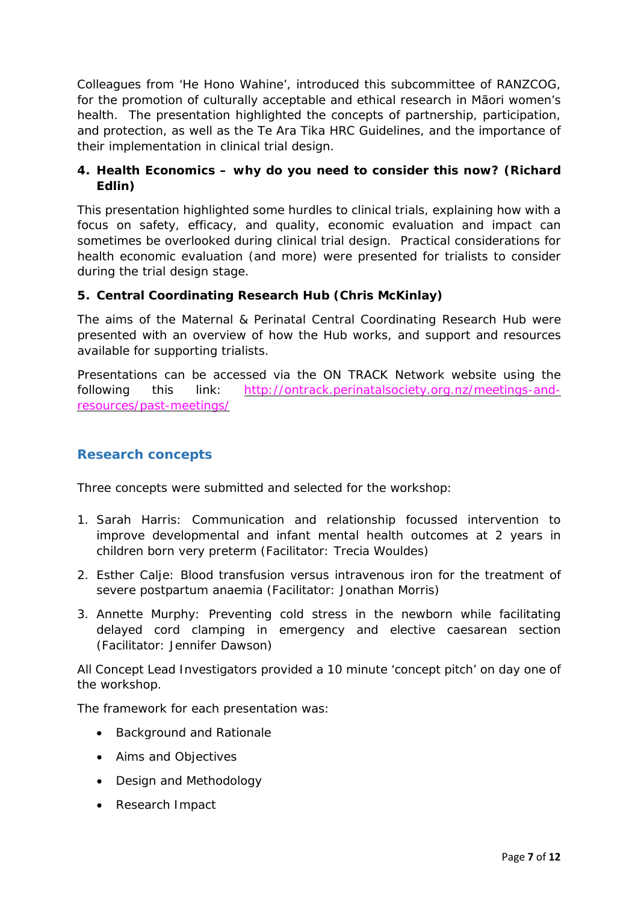Colleagues from 'He Hono Wahine', introduced this subcommittee of RANZCOG, for the promotion of culturally acceptable and ethical research in Māori women's health. The presentation highlighted the concepts of partnership, participation, and protection, as well as the Te Ara Tika HRC Guidelines, and the importance of their implementation in clinical trial design.

## **4. Health Economics – why do you need to consider this now? (Richard Edlin)**

This presentation highlighted some hurdles to clinical trials, explaining how with a focus on safety, efficacy, and quality, economic evaluation and impact can sometimes be overlooked during clinical trial design. Practical considerations for health economic evaluation (and more) were presented for trialists to consider during the trial design stage.

#### **5. Central Coordinating Research Hub (Chris McKinlay)**

The aims of the Maternal & Perinatal Central Coordinating Research Hub were presented with an overview of how the Hub works, and support and resources available for supporting trialists.

Presentations can be accessed via the ON TRACK Network website using the following this link: [http://ontrack.perinatalsociety.org.nz/meetings-and](http://ontrack.perinatalsociety.org.nz/meetings-and-resources/past-meetings/)[resources/past-meetings/](http://ontrack.perinatalsociety.org.nz/meetings-and-resources/past-meetings/)

## **Research concepts**

Three concepts were submitted and selected for the workshop:

- 1. Sarah Harris: Communication and relationship focussed intervention to improve developmental and infant mental health outcomes at 2 years in children born very preterm (Facilitator: Trecia Wouldes)
- 2. Esther Calje: Blood transfusion versus intravenous iron for the treatment of severe postpartum anaemia (Facilitator: Jonathan Morris)
- 3. Annette Murphy: Preventing cold stress in the newborn while facilitating delayed cord clamping in emergency and elective caesarean section (Facilitator: Jennifer Dawson)

All Concept Lead Investigators provided a 10 minute 'concept pitch' on day one of the workshop.

The framework for each presentation was:

- Background and Rationale
- Aims and Objectives
- Design and Methodology
- Research Impact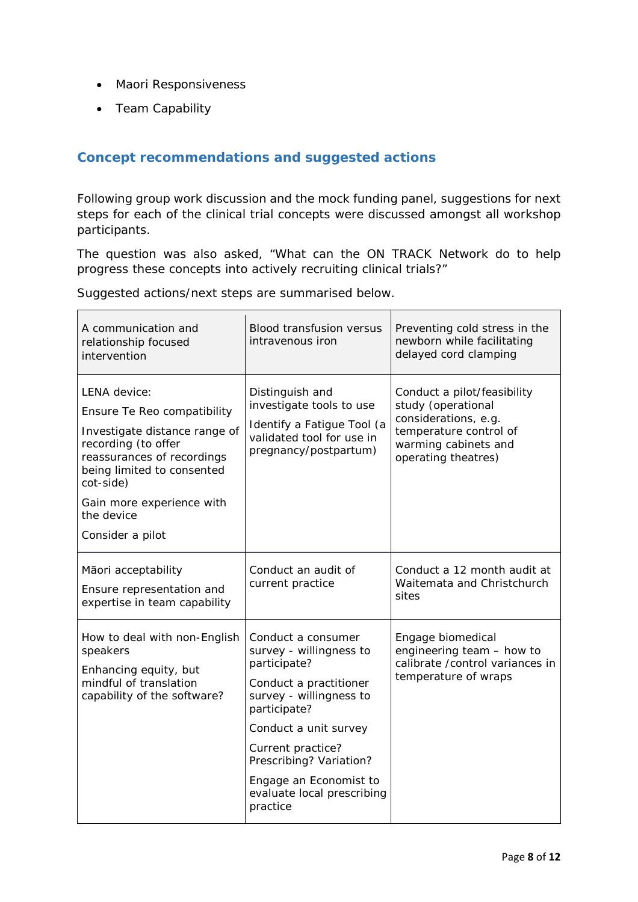- Maori Responsiveness
- Team Capability

## **Concept recommendations and suggested actions**

Following group work discussion and the mock funding panel, suggestions for next steps for each of the clinical trial concepts were discussed amongst all workshop participants.

The question was also asked, "What can the ON TRACK Network do to help progress these concepts into actively recruiting clinical trials?"

Suggested actions/next steps are summarised below.

| A communication and<br>relationship focused<br>intervention                                                                                                                                                                                 | Blood transfusion versus<br>intravenous iron                                                                                                                                                                                                                                    | Preventing cold stress in the<br>newborn while facilitating<br>delayed cord clamping                                                               |
|---------------------------------------------------------------------------------------------------------------------------------------------------------------------------------------------------------------------------------------------|---------------------------------------------------------------------------------------------------------------------------------------------------------------------------------------------------------------------------------------------------------------------------------|----------------------------------------------------------------------------------------------------------------------------------------------------|
| LENA device:<br>Ensure Te Reo compatibility<br>Investigate distance range of<br>recording (to offer<br>reassurances of recordings<br>being limited to consented<br>cot-side)<br>Gain more experience with<br>the device<br>Consider a pilot | Distinguish and<br>investigate tools to use<br>Identify a Fatigue Tool (a<br>validated tool for use in<br>pregnancy/postpartum)                                                                                                                                                 | Conduct a pilot/feasibility<br>study (operational<br>considerations, e.g.<br>temperature control of<br>warming cabinets and<br>operating theatres) |
| Māori acceptability<br>Ensure representation and<br>expertise in team capability                                                                                                                                                            | Conduct an audit of<br>current practice                                                                                                                                                                                                                                         | Conduct a 12 month audit at<br>Waitemata and Christchurch<br>sites                                                                                 |
| How to deal with non-English<br>speakers<br>Enhancing equity, but<br>mindful of translation<br>capability of the software?                                                                                                                  | Conduct a consumer<br>survey - willingness to<br>participate?<br>Conduct a practitioner<br>survey - willingness to<br>participate?<br>Conduct a unit survey<br>Current practice?<br>Prescribing? Variation?<br>Engage an Economist to<br>evaluate local prescribing<br>practice | Engage biomedical<br>engineering team - how to<br>calibrate / control variances in<br>temperature of wraps                                         |

 $\overline{\phantom{0}}$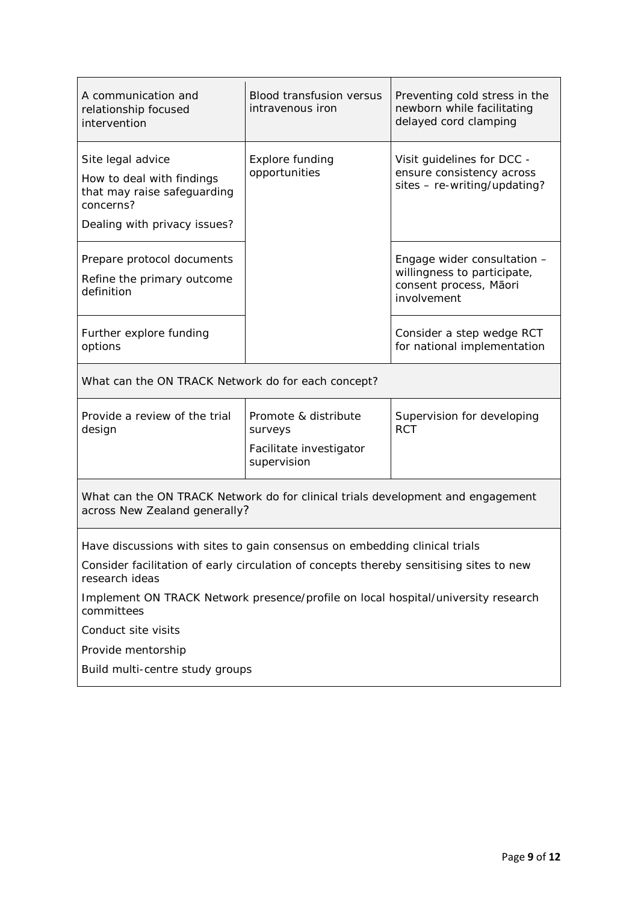| A communication and<br>relationship focused<br>intervention                                                      | <b>Blood transfusion versus</b><br>intravenous iron | Preventing cold stress in the<br>newborn while facilitating<br>delayed cord clamping |  |  |
|------------------------------------------------------------------------------------------------------------------|-----------------------------------------------------|--------------------------------------------------------------------------------------|--|--|
| Site legal advice                                                                                                | <b>Explore funding</b>                              | Visit guidelines for DCC -                                                           |  |  |
| How to deal with findings<br>that may raise safeguarding<br>concerns?                                            | opportunities                                       | ensure consistency across<br>sites - re-writing/updating?                            |  |  |
| Dealing with privacy issues?                                                                                     |                                                     |                                                                                      |  |  |
| Prepare protocol documents                                                                                       |                                                     | Engage wider consultation -                                                          |  |  |
| Refine the primary outcome<br>definition                                                                         |                                                     | willingness to participate,<br>consent process, Māori<br>involvement                 |  |  |
| Further explore funding<br>options                                                                               |                                                     | Consider a step wedge RCT<br>for national implementation                             |  |  |
| What can the ON TRACK Network do for each concept?                                                               |                                                     |                                                                                      |  |  |
| Provide a review of the trial<br>design                                                                          | Promote & distribute<br>surveys                     | Supervision for developing<br><b>RCT</b>                                             |  |  |
|                                                                                                                  | Facilitate investigator<br>supervision              |                                                                                      |  |  |
| What can the ON TRACK Network do for clinical trials development and engagement<br>across New Zealand generally? |                                                     |                                                                                      |  |  |
| Have discussions with sites to gain consensus on embedding clinical trials                                       |                                                     |                                                                                      |  |  |
| Consider facilitation of early circulation of concepts thereby sensitising sites to new<br>research ideas        |                                                     |                                                                                      |  |  |
| Implement ON TRACK Network presence/profile on local hospital/university research<br>committees                  |                                                     |                                                                                      |  |  |
| Conduct site visits                                                                                              |                                                     |                                                                                      |  |  |
| Provide mentorship                                                                                               |                                                     |                                                                                      |  |  |
| Build multi-centre study groups                                                                                  |                                                     |                                                                                      |  |  |
|                                                                                                                  |                                                     |                                                                                      |  |  |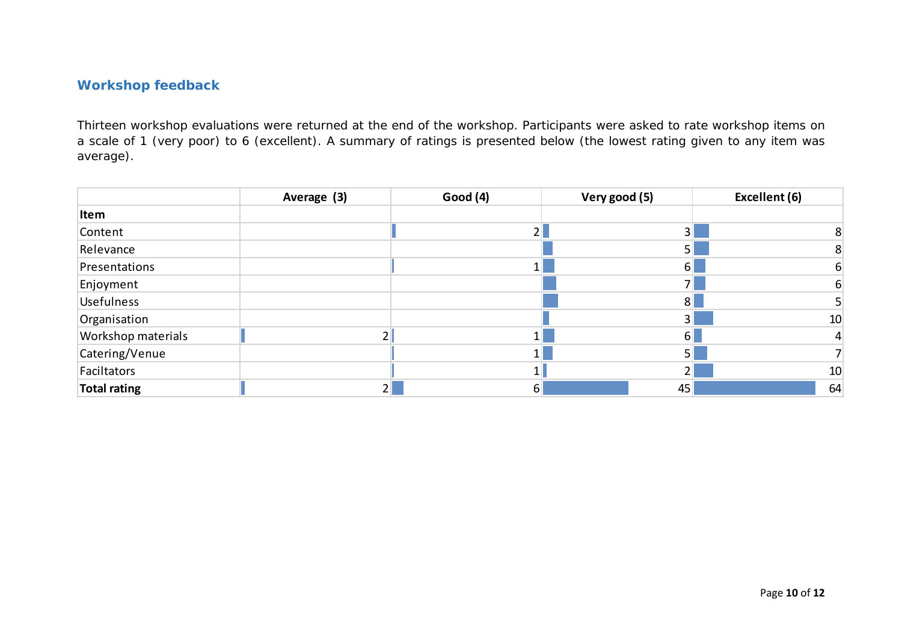## **Workshop feedback**

Thirteen workshop evaluations were returned at the end of the workshop. Participants were asked to rate workshop items on a scale of 1 (very poor) to 6 (excellent). A summary of ratings is presented below (the lowest rating given to any item was average).

|                    | Average (3) | Good (4) | Very good (5)  | Excellent (6)   |
|--------------------|-------------|----------|----------------|-----------------|
| Item               |             |          |                |                 |
| Content            |             |          | 3 <sup>1</sup> |                 |
| Relevance          |             |          |                | 8               |
| Presentations      |             |          | h.             |                 |
| Enjoyment          |             |          |                |                 |
| <b>Usefulness</b>  |             |          | 8 <sup>1</sup> |                 |
| Organisation       |             |          | 31             | 10              |
| Workshop materials |             |          | 61             |                 |
| Catering/Venue     |             |          | 51             |                 |
| Faciltators        |             |          |                | 10 <sup>°</sup> |
| Total rating       |             | 6        | 45             | 64              |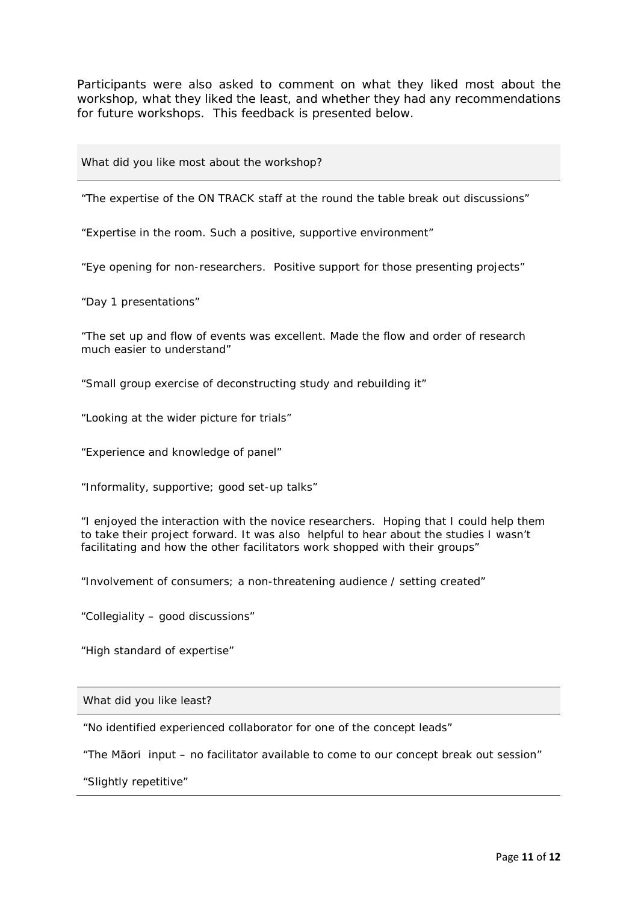Participants were also asked to comment on what they liked most about the workshop, what they liked the least, and whether they had any recommendations for future workshops. This feedback is presented below.

#### What did you like most about the workshop?

"The expertise of the ON TRACK staff at the round the table break out discussions"

"Expertise in the room. Such a positive, supportive environment"

"Eye opening for non-researchers. Positive support for those presenting projects"

"Day 1 presentations"

"The set up and flow of events was excellent. Made the flow and order of research much easier to understand"

"Small group exercise of deconstructing study and rebuilding it"

"Looking at the wider picture for trials"

"Experience and knowledge of panel"

"Informality, supportive; good set-up talks"

"I enjoyed the interaction with the novice researchers. Hoping that I could help them to take their project forward. It was also helpful to hear about the studies I wasn't facilitating and how the other facilitators work shopped with their groups"

"Involvement of consumers; a non-threatening audience / setting created"

"Collegiality – good discussions"

"High standard of expertise"

What did you like least?

"No identified experienced collaborator for one of the concept leads"

"The Māori input – no facilitator available to come to our concept break out session"

"Slightly repetitive"